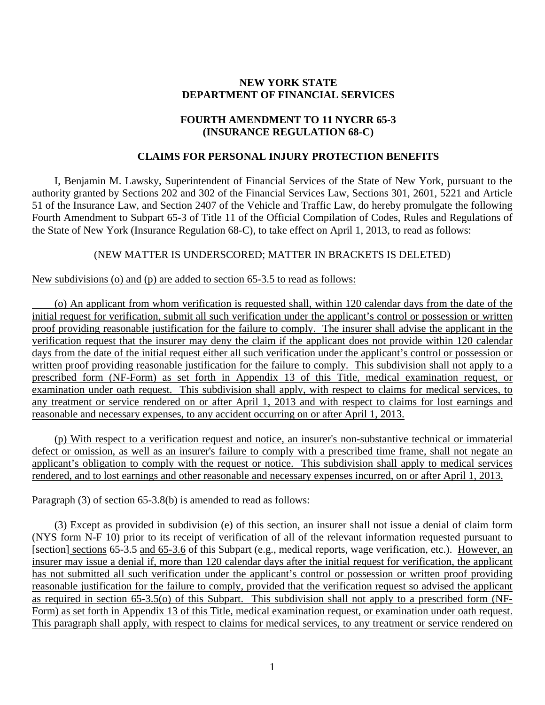## **NEW YORK STATE DEPARTMENT OF FINANCIAL SERVICES**

## **FOURTH AMENDMENT TO 11 NYCRR 65-3 (INSURANCE REGULATION 68-C)**

#### **CLAIMS FOR PERSONAL INJURY PROTECTION BENEFITS**

I, Benjamin M. Lawsky, Superintendent of Financial Services of the State of New York, pursuant to the authority granted by Sections 202 and 302 of the Financial Services Law, Sections 301, 2601, 5221 and Article 51 of the Insurance Law, and Section 2407 of the Vehicle and Traffic Law, do hereby promulgate the following Fourth Amendment to Subpart 65-3 of Title 11 of the Official Compilation of Codes, Rules and Regulations of the State of New York (Insurance Regulation 68-C), to take effect on April 1, 2013, to read as follows:

### (NEW MATTER IS UNDERSCORED; MATTER IN BRACKETS IS DELETED)

#### New subdivisions (o) and (p) are added to section 65-3.5 to read as follows:

(o) An applicant from whom verification is requested shall, within 120 calendar days from the date of the initial request for verification, submit all such verification under the applicant's control or possession or written proof providing reasonable justification for the failure to comply. The insurer shall advise the applicant in the verification request that the insurer may deny the claim if the applicant does not provide within 120 calendar days from the date of the initial request either all such verification under the applicant's control or possession or written proof providing reasonable justification for the failure to comply. This subdivision shall not apply to a prescribed form (NF-Form) as set forth in Appendix 13 of this Title, medical examination request, or examination under oath request. This subdivision shall apply, with respect to claims for medical services, to any treatment or service rendered on or after April 1, 2013 and with respect to claims for lost earnings and reasonable and necessary expenses, to any accident occurring on or after April 1, 2013.

(p) With respect to a verification request and notice, an insurer's non-substantive technical or immaterial defect or omission, as well as an insurer's failure to comply with a prescribed time frame, shall not negate an applicant's obligation to comply with the request or notice. This subdivision shall apply to medical services rendered, and to lost earnings and other reasonable and necessary expenses incurred, on or after April 1, 2013.

Paragraph (3) of section 65-3.8(b) is amended to read as follows:

Form) as set forth in Appendix 13 of this Title, medical examination request, or examination under oath request. (3) Except as provided in subdivision (e) of this section, an insurer shall not issue a denial of claim form (NYS form N-F 10) prior to its receipt of verification of all of the relevant information requested pursuant to [section] sections 65-3.5 and 65-3.6 of this Subpart (e.g., medical reports, wage verification, etc.). However, an insurer may issue a denial if, more than 120 calendar days after the initial request for verification, the applicant has not submitted all such verification under the applicant's control or possession or written proof providing reasonable justification for the failure to comply, provided that the verification request so advised the applicant as required in section 65-3.5(o) of this Subpart. This subdivision shall not apply to a prescribed form (NF-This paragraph shall apply, with respect to claims for medical services, to any treatment or service rendered on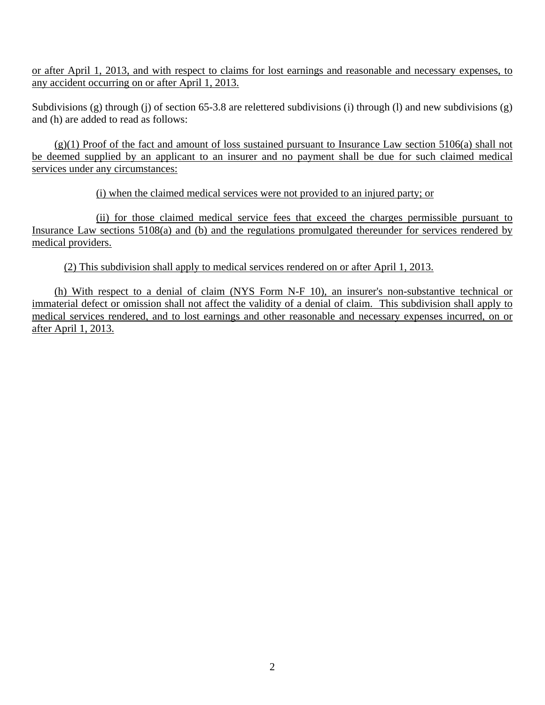or after April 1, 2013, and with respect to claims for lost earnings and reasonable and necessary expenses, to any accident occurring on or after April 1, 2013.

Subdivisions (g) through (j) of section 65-3.8 are relettered subdivisions (i) through (l) and new subdivisions (g) and (h) are added to read as follows:

(g)(1) Proof of the fact and amount of loss sustained pursuant to Insurance Law section 5106(a) shall not be deemed supplied by an applicant to an insurer and no payment shall be due for such claimed medical services under any circumstances:

(i) when the claimed medical services were not provided to an injured party; or

medical providers. (ii) for those claimed medical service fees that exceed the charges permissible pursuant to Insurance Law sections 5108(a) and (b) and the regulations promulgated thereunder for services rendered by

(2) This subdivision shall apply to medical services rendered on or after April 1, 2013.

(h) With respect to a denial of claim (NYS Form N-F 10), an insurer's non-substantive technical or immaterial defect or omission shall not affect the validity of a denial of claim. This subdivision shall apply to medical services rendered, and to lost earnings and other reasonable and necessary expenses incurred, on or after April 1, 2013.